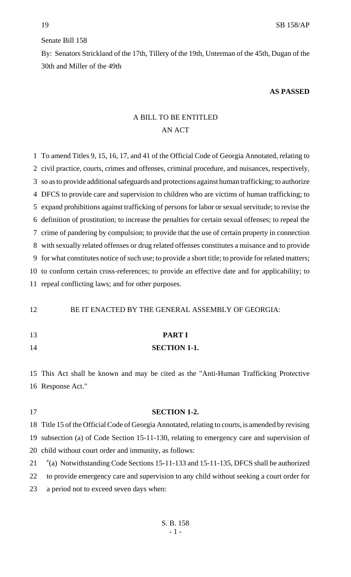### Senate Bill 158

By: Senators Strickland of the 17th, Tillery of the 19th, Unterman of the 45th, Dugan of the 30th and Miller of the 49th

#### **AS PASSED**

# A BILL TO BE ENTITLED AN ACT

 To amend Titles 9, 15, 16, 17, and 41 of the Official Code of Georgia Annotated, relating to civil practice, courts, crimes and offenses, criminal procedure, and nuisances, respectively, so as to provide additional safeguards and protections against human trafficking; to authorize DFCS to provide care and supervision to children who are victims of human trafficking; to expand prohibitions against trafficking of persons for labor or sexual servitude; to revise the definition of prostitution; to increase the penalties for certain sexual offenses; to repeal the crime of pandering by compulsion; to provide that the use of certain property in connection with sexually related offenses or drug related offenses constitutes a nuisance and to provide for what constitutes notice of such use; to provide a short title; to provide for related matters; to conform certain cross-references; to provide an effective date and for applicability; to repeal conflicting laws; and for other purposes.

12 BE IT ENACTED BY THE GENERAL ASSEMBLY OF GEORGIA:

- **PART I**
- **SECTION 1-1.**

 This Act shall be known and may be cited as the "Anti-Human Trafficking Protective Response Act."

- **SECTION 1-2.** Title 15 of the Official Code of Georgia Annotated, relating to courts, is amended by revising subsection (a) of Code Section 15-11-130, relating to emergency care and supervision of child without court order and immunity, as follows: "(a) Notwithstanding Code Sections 15-11-133 and 15-11-135, DFCS shall be authorized
- to provide emergency care and supervision to any child without seeking a court order for
- a period not to exceed seven days when: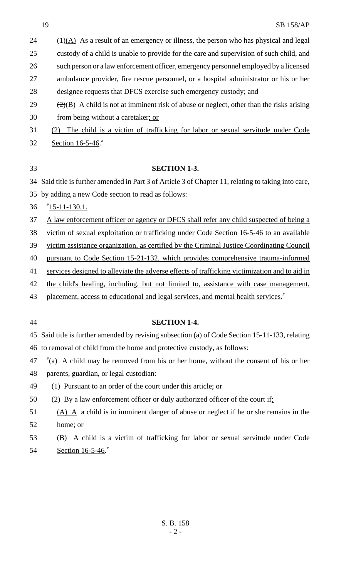(1)( $\overrightarrow{A}$ ) As a result of an emergency or illness, the person who has physical and legal

custody of a child is unable to provide for the care and supervision of such child, and

such person or a law enforcement officer, emergency personnel employed by a licensed

 ambulance provider, fire rescue personnel, or a hospital administrator or his or her designee requests that DFCS exercise such emergency custody; and

29  $\frac{(2)(B)}{2}$  A child is not at imminent risk of abuse or neglect, other than the risks arising 30 from being without a caretaker; or

 (2) The child is a victim of trafficking for labor or sexual servitude under Code Section 16-5-46."

#### **SECTION 1-3.**

Said title is further amended in Part 3 of Article 3 of Chapter 11, relating to taking into care,

by adding a new Code section to read as follows:

"15-11-130.1.

37 A law enforcement officer or agency or DFCS shall refer any child suspected of being a

victim of sexual exploitation or trafficking under Code Section 16-5-46 to an available

victim assistance organization, as certified by the Criminal Justice Coordinating Council

pursuant to Code Section 15-21-132, which provides comprehensive trauma-informed

41 services designed to alleviate the adverse effects of trafficking victimization and to aid in

the child's healing, including, but not limited to, assistance with case management,

43 placement, access to educational and legal services, and mental health services."

# **SECTION 1-4.**

 Said title is further amended by revising subsection (a) of Code Section 15-11-133, relating to removal of child from the home and protective custody, as follows:

"(a) A child may be removed from his or her home, without the consent of his or her

parents, guardian, or legal custodian:

(1) Pursuant to an order of the court under this article; or

50 (2) By a law enforcement officer or duly authorized officer of the court if:

51 (A) A  $\alpha$  child is in imminent danger of abuse or neglect if he or she remains in the home; or

 (B) A child is a victim of trafficking for labor or sexual servitude under Code Section 16-5-46."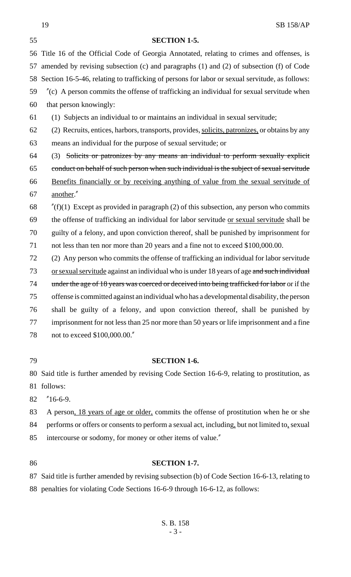# **SECTION 1-5.** Title 16 of the Official Code of Georgia Annotated, relating to crimes and offenses, is amended by revising subsection (c) and paragraphs (1) and (2) of subsection (f) of Code Section 16-5-46, relating to trafficking of persons for labor or sexual servitude, as follows: "(c) A person commits the offense of trafficking an individual for sexual servitude when that person knowingly: (1) Subjects an individual to or maintains an individual in sexual servitude; (2) Recruits, entices, harbors, transports, provides, solicits, patronizes, or obtains by any means an individual for the purpose of sexual servitude; or (3) Solicits or patronizes by any means an individual to perform sexually explicit conduct on behalf of such person when such individual is the subject of sexual servitude Benefits financially or by receiving anything of value from the sexual servitude of another." 68  $\frac{1}{2}$  (f)(1) Except as provided in paragraph (2) of this subsection, any person who commits the offense of trafficking an individual for labor servitude or sexual servitude shall be guilty of a felony, and upon conviction thereof, shall be punished by imprisonment for not less than ten nor more than 20 years and a fine not to exceed \$100,000.00. (2) Any person who commits the offense of trafficking an individual for labor servitude 73 or sexual servitude against an individual who is under 18 years of age and such individual 74 under the age of 18 years was coerced or deceived into being trafficked for labor or if the offense is committed against an individual who has a developmental disability, the person shall be guilty of a felony, and upon conviction thereof, shall be punished by imprisonment for not less than 25 nor more than 50 years or life imprisonment and a fine not to exceed \$100,000.00."

# **SECTION 1-6.**

 Said title is further amended by revising Code Section 16-6-9, relating to prostitution, as follows:

"16-6-9.

 A person, 18 years of age or older, commits the offense of prostitution when he or she performs or offers or consents to perform a sexual act, including, but not limited to, sexual intercourse or sodomy, for money or other items of value."

# **SECTION 1-7.**

 Said title is further amended by revising subsection (b) of Code Section 16-6-13, relating to penalties for violating Code Sections 16-6-9 through 16-6-12, as follows: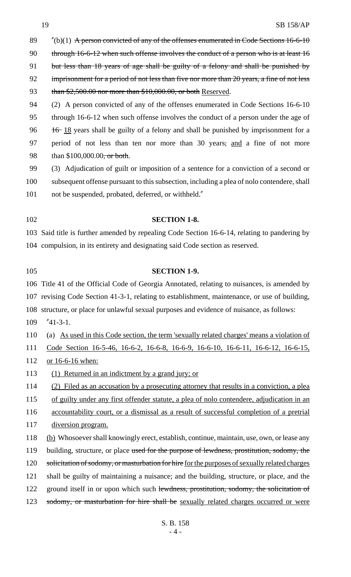89  $\frac{m}{10}(b)(1)$  A person convicted of any of the offenses enumerated in Code Sections 16-6-10 90 through 16-6-12 when such offense involves the conduct of a person who is at least 16 91 but less than 18 years of age shall be guilty of a felony and shall be punished by 92 imprisonment for a period of not less than five nor more than 20 years, a fine of not less 93 than \$2,500.00 nor more than \$10,000.00, or both Reserved. (2) A person convicted of any of the offenses enumerated in Code Sections 16-6-10 through 16-6-12 when such offense involves the conduct of a person under the age of 96  $\frac{16}{18}$  years shall be guilty of a felony and shall be punished by imprisonment for a period of not less than ten nor more than 30 years, and a fine of not more

98 than \$100,000.00<del>, or both</del>.

 (3) Adjudication of guilt or imposition of a sentence for a conviction of a second or subsequent offense pursuant to this subsection, including a plea of nolo contendere, shall 101 not be suspended, probated, deferred, or withheld."

#### **SECTION 1-8.**

 Said title is further amended by repealing Code Section 16-6-14, relating to pandering by compulsion, in its entirety and designating said Code section as reserved.

# **SECTION 1-9.**

 Title 41 of the Official Code of Georgia Annotated, relating to nuisances, is amended by revising Code Section 41-3-1, relating to establishment, maintenance, or use of building, structure, or place for unlawful sexual purposes and evidence of nuisance, as follows:

"41-3-1.

(a) As used in this Code section, the term 'sexually related charges' means a violation of

Code Section 16-5-46, 16-6-2, 16-6-8, 16-6-9, 16-6-10, 16-6-11, 16-6-12, 16-6-15,

or 16-6-16 when:

(1) Returned in an indictment by a grand jury; or

(2) Filed as an accusation by a prosecuting attorney that results in a conviction, a plea

- of guilty under any first offender statute, a plea of nolo contendere, adjudication in an
- accountability court, or a dismissal as a result of successful completion of a pretrial
- diversion program.
- (b) Whosoever shall knowingly erect, establish, continue, maintain, use, own, or lease any 119 building, structure, or place used for the purpose of lewdness, prostitution, sodomy, the 120 solicitation of sodomy, or masturbation for hire for the purposes of sexually related charges shall be guilty of maintaining a nuisance; and the building, structure, or place, and the
- 122 ground itself in or upon which such lewdness, prostitution, sodomy, the solicitation of
- 123 sodomy, or masturbation for hire shall be sexually related charges occurred or were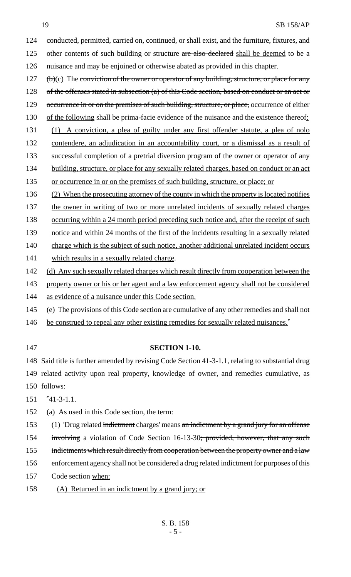#### 19 SB 158/AP

124 conducted, permitted, carried on, continued, or shall exist, and the furniture, fixtures, and 125 other contents of such building or structure are also declared shall be deemed to be a

126 nuisance and may be enjoined or otherwise abated as provided in this chapter.

127  $(b)(c)$  The conviction of the owner or operator of any building, structure, or place for any 128 of the offenses stated in subsection (a) of this Code section, based on conduct or an act or

129 occurrence in or on the premises of such building, structure, or place, occurrence of either

130 of the following shall be prima-facie evidence of the nuisance and the existence thereof:

- 131 (1) A conviction, a plea of guilty under any first offender statute, a plea of nolo
- 132 contendere, an adjudication in an accountability court, or a dismissal as a result of

133 successful completion of a pretrial diversion program of the owner or operator of any

- 134 building, structure, or place for any sexually related charges, based on conduct or an act
- 135 or occurrence in or on the premises of such building, structure, or place; or
- 136 (2) When the prosecuting attorney of the county in which the property is located notifies
- 137 the owner in writing of two or more unrelated incidents of sexually related charges

138 occurring within a 24 month period preceding such notice and, after the receipt of such

139 notice and within 24 months of the first of the incidents resulting in a sexually related

- 140 charge which is the subject of such notice, another additional unrelated incident occurs
- 141 which results in a sexually related charge.
- 142 (d) Any such sexually related charges which result directly from cooperation between the
- 143 property owner or his or her agent and a law enforcement agency shall not be considered
- 144 as evidence of a nuisance under this Code section.
- 145 (e) The provisions of this Code section are cumulative of any other remedies and shall not
- 146 be construed to repeal any other existing remedies for sexually related nuisances."
- 

# 147 **SECTION 1-10.**

148 Said title is further amended by revising Code Section 41-3-1.1, relating to substantial drug 149 related activity upon real property, knowledge of owner, and remedies cumulative, as 150 follows:

151 "41-3-1.1.

152 (a) As used in this Code section, the term:

153 (1) 'Drug related indictment charges' means an indictment by a grand jury for an offense

154 involving a violation of Code Section 16-13-30; provided, however, that any such

155 indictments which result directly from cooperation between the property owner and a law

- 156 enforcement agency shall not be considered a drug related indictment for purposes of this
- 157 <del>Code section</del> when:
- 158 (A) Returned in an indictment by a grand jury; or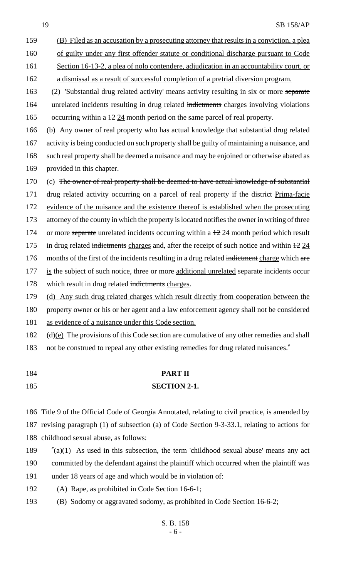- (B) Filed as an accusation by a prosecuting attorney that results in a conviction, a plea
- 160 of guilty under any first offender statute or conditional discharge pursuant to Code
- 161 Section 16-13-2, a plea of nolo contendere, adjudication in an accountability court, or
- a dismissal as a result of successful completion of a pretrial diversion program.

 (2) 'Substantial drug related activity' means activity resulting in six or more separate 164 unrelated incidents resulting in drug related indictments charges involving violations 165 occurring within a  $\frac{1224}{}$  month period on the same parcel of real property.

 (b) Any owner of real property who has actual knowledge that substantial drug related activity is being conducted on such property shall be guilty of maintaining a nuisance, and such real property shall be deemed a nuisance and may be enjoined or otherwise abated as provided in this chapter.

170 (c) The owner of real property shall be deemed to have actual knowledge of substantial

171 drug related activity occurring on a parcel of real property if the district Prima-facie

evidence of the nuisance and the existence thereof is established when the prosecuting

attorney of the county in which the property is located notifies the owner in writing of three

174 or more separate unrelated incidents occurring within a  $\pm 2.24$  month period which result

175 in drug related indictments charges and, after the receipt of such notice and within  $\frac{12}{24}$ 

- 176 months of the first of the incidents resulting in a drug related indictment charge which are
- 177 is the subject of such notice, three or more additional unrelated separate incidents occur 178 which result in drug related indictments charges.

(d) Any such drug related charges which result directly from cooperation between the

property owner or his or her agent and a law enforcement agency shall not be considered

as evidence of a nuisance under this Code section.

182  $(d)(e)$  The provisions of this Code section are cumulative of any other remedies and shall

- not be construed to repeal any other existing remedies for drug related nuisances."
- **PART II SECTION 2-1.**

 Title 9 of the Official Code of Georgia Annotated, relating to civil practice, is amended by revising paragraph (1) of subsection (a) of Code Section 9-3-33.1, relating to actions for childhood sexual abuse, as follows:

- $\text{''}(a)(1)$  As used in this subsection, the term 'childhood sexual abuse' means any act committed by the defendant against the plaintiff which occurred when the plaintiff was under 18 years of age and which would be in violation of:
- (A) Rape, as prohibited in Code Section 16-6-1;
- (B) Sodomy or aggravated sodomy, as prohibited in Code Section 16-6-2;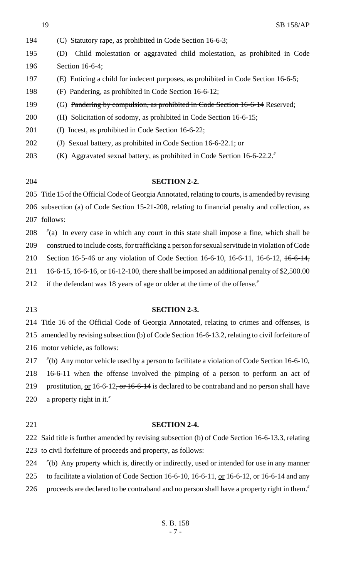- (C) Statutory rape, as prohibited in Code Section 16-6-3; (D) Child molestation or aggravated child molestation, as prohibited in Code Section 16-6-4; (E) Enticing a child for indecent purposes, as prohibited in Code Section 16-6-5; (F) Pandering, as prohibited in Code Section 16-6-12; (G) Pandering by compulsion, as prohibited in Code Section 16-6-14 Reserved; (H) Solicitation of sodomy, as prohibited in Code Section 16-6-15; (I) Incest, as prohibited in Code Section 16-6-22; (J) Sexual battery, as prohibited in Code Section 16-6-22.1; or (K) Aggravated sexual battery, as prohibited in Code Section 16-6-22.2."
- 

#### **SECTION 2-2.**

 Title 15 of the Official Code of Georgia Annotated, relating to courts, is amended by revising subsection (a) of Code Section 15-21-208, relating to financial penalty and collection, as follows:

"(a) In every case in which any court in this state shall impose a fine, which shall be

construed to include costs, for trafficking a person for sexual servitude in violation of Code

210 Section 16-5-46 or any violation of Code Section 16-6-10, 16-6-11, 16-6-12, 16-6-14,

16-6-15, 16-6-16, or 16-12-100, there shall be imposed an additional penalty of \$2,500.00

212 if the defendant was 18 years of age or older at the time of the offense."

#### **SECTION 2-3.**

Title 16 of the Official Code of Georgia Annotated, relating to crimes and offenses, is

 amended by revising subsection (b) of Code Section 16-6-13.2, relating to civil forfeiture of motor vehicle, as follows:

"(b) Any motor vehicle used by a person to facilitate a violation of Code Section 16-6-10,

16-6-11 when the offense involved the pimping of a person to perform an act of

219 prostitution, or 16-6-12<del>, or 16-6-14</del> is declared to be contraband and no person shall have

a property right in it."

#### **SECTION 2-4.**

 Said title is further amended by revising subsection (b) of Code Section 16-6-13.3, relating to civil forfeiture of proceeds and property, as follows:

"(b) Any property which is, directly or indirectly, used or intended for use in any manner

225 to facilitate a violation of Code Section 16-6-10, 16-6-11, or 16-6-12, or -6-14 and any

226 proceeds are declared to be contraband and no person shall have a property right in them.<sup>"</sup>